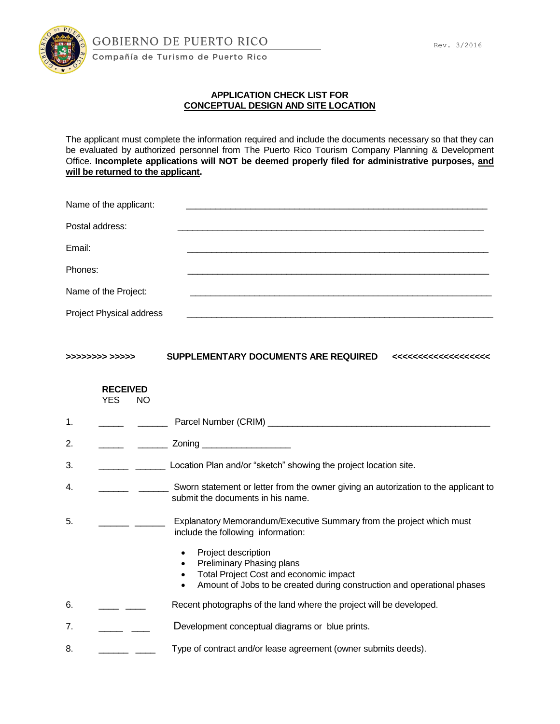

## **APPLICATION CHECK LIST FOR CONCEPTUAL DESIGN AND SITE LOCATION**

The applicant must complete the information required and include the documents necessary so that they can be evaluated by authorized personnel from The Puerto Rico Tourism Company Planning & Development Office. **Incomplete applications will NOT be deemed properly filed for administrative purposes, and will be returned to the applicant.**

| Name of the applicant:   |  |
|--------------------------|--|
| Postal address:          |  |
| Email:                   |  |
| Phones:                  |  |
| Name of the Project:     |  |
| Project Physical address |  |

| >>>>>>>>> >>>>>> | SUPPLEMENTARY DOCUMENTS ARE REQUIRED |  |
|------------------|--------------------------------------|--|
|                  |                                      |  |

## **RECEIVED** YES NO

| 2.<br>Zoning<br>3.<br>Location Plan and/or "sketch" showing the project location site.<br>4.<br>submit the documents in his name.<br>5.<br>include the following information:<br>Project description<br>$\bullet$<br>Preliminary Phasing plans<br>Total Project Cost and economic impact | $\mathbf{1}$ . | Parcel Number (CRIM) _________                                                      |
|------------------------------------------------------------------------------------------------------------------------------------------------------------------------------------------------------------------------------------------------------------------------------------------|----------------|-------------------------------------------------------------------------------------|
|                                                                                                                                                                                                                                                                                          |                |                                                                                     |
|                                                                                                                                                                                                                                                                                          |                |                                                                                     |
|                                                                                                                                                                                                                                                                                          |                | Sworn statement or letter from the owner giving an autorization to the applicant to |
|                                                                                                                                                                                                                                                                                          |                | Explanatory Memorandum/Executive Summary from the project which must                |
|                                                                                                                                                                                                                                                                                          |                | Amount of Jobs to be created during construction and operational phases             |

- 6. **\_\_\_\_** \_\_\_\_ Recent photographs of the land where the project will be developed.
- 7. \_\_\_\_\_\_ \_\_\_\_ Development conceptual diagrams or blue prints.
- 8. \_\_\_\_\_\_\_ \_\_\_\_\_ Type of contract and/or lease agreement (owner submits deeds).